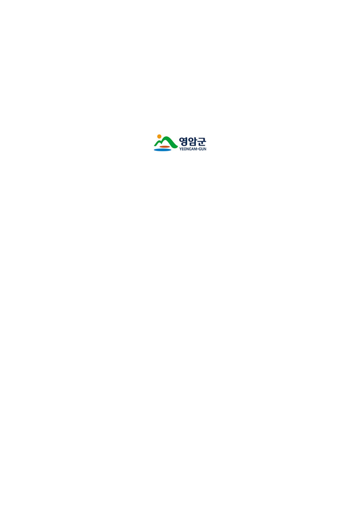